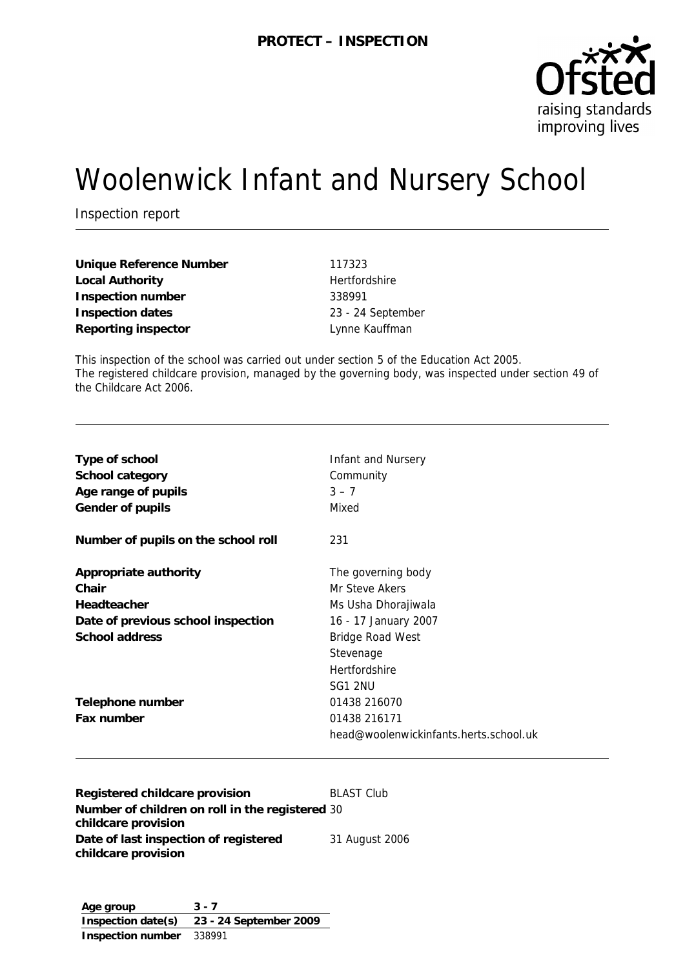

# Woolenwick Infant and Nursery School

Inspection report

**Unique Reference Number** 117323 Local Authority **Hertfordshire Inspection number** 338991 **Inspection dates** 23 - 24 September **Reporting inspector Lynne Kauffman** 

This inspection of the school was carried out under section 5 of the Education Act 2005. The registered childcare provision, managed by the governing body, was inspected under section 49 of the Childcare Act 2006.

| Registered childcare provision      | <b>BLAST Club</b>                      |
|-------------------------------------|----------------------------------------|
|                                     | head@woolenwickinfants.herts.school.uk |
| Fax number                          | 01438 216171                           |
| Telephone number                    | 01438 216070                           |
|                                     | SG1 2NU                                |
|                                     | Hertfordshire                          |
|                                     | Stevenage                              |
| School address                      | <b>Bridge Road West</b>                |
| Date of previous school inspection  | 16 - 17 January 2007                   |
| Headteacher                         | Ms Usha Dhorajiwala                    |
| Chair                               | Mr Steve Akers                         |
| Appropriate authority               | The governing body                     |
| Number of pupils on the school roll | 231                                    |
| Gender of pupils                    | Mixed                                  |
| Age range of pupils                 | $3 - 7$                                |
| School category                     | Community                              |
| Type of school                      | Infant and Nursery                     |
|                                     |                                        |

**Number of children on roll in the registered**  30 **childcare provision Date of last inspection of registered childcare provision** 31 August 2006

**Age group 3 - 7 Inspection date(s) 23 - 24 September 2009 Inspection number** 338991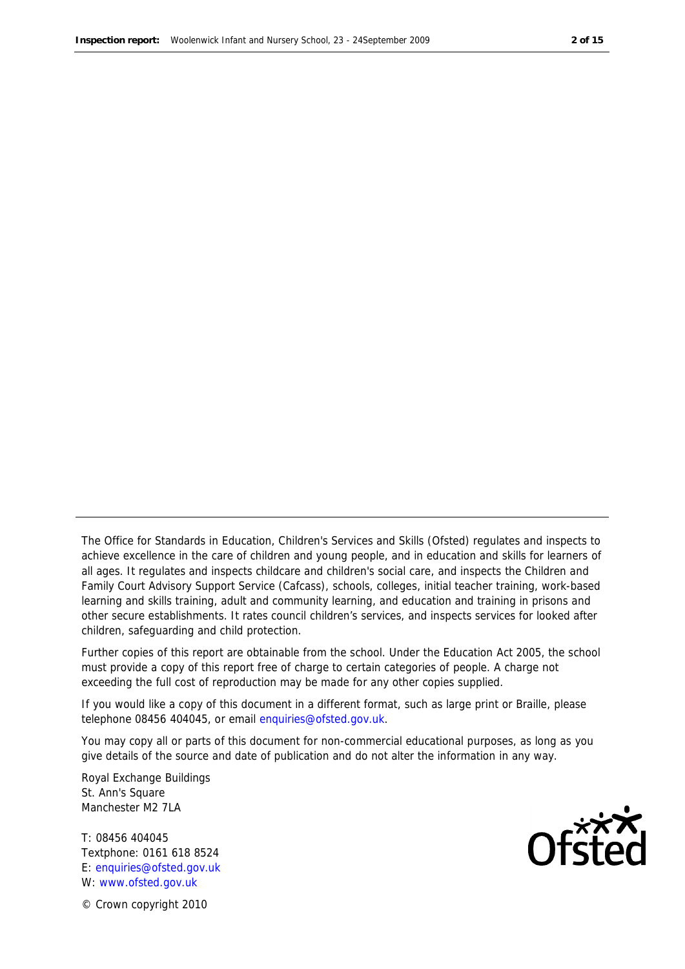The Office for Standards in Education, Children's Services and Skills (Ofsted) regulates and inspects to achieve excellence in the care of children and young people, and in education and skills for learners of all ages. It regulates and inspects childcare and children's social care, and inspects the Children and Family Court Advisory Support Service (Cafcass), schools, colleges, initial teacher training, work-based learning and skills training, adult and community learning, and education and training in prisons and other secure establishments. It rates council children's services, and inspects services for looked after children, safeguarding and child protection.

Further copies of this report are obtainable from the school. Under the Education Act 2005, the school must provide a copy of this report free of charge to certain categories of people. A charge not exceeding the full cost of reproduction may be made for any other copies supplied.

If you would like a copy of this document in a different format, such as large print or Braille, please telephone 08456 404045, or email enquiries@ofsted.gov.uk.

You may copy all or parts of this document for non-commercial educational purposes, as long as you give details of the source and date of publication and do not alter the information in any way.

Royal Exchange Buildings St. Ann's Square Manchester M2 7LA

T: 08456 404045 Textphone: 0161 618 8524 E: enquiries@ofsted.gov.uk W: www.ofsted.gov.uk



© Crown copyright 2010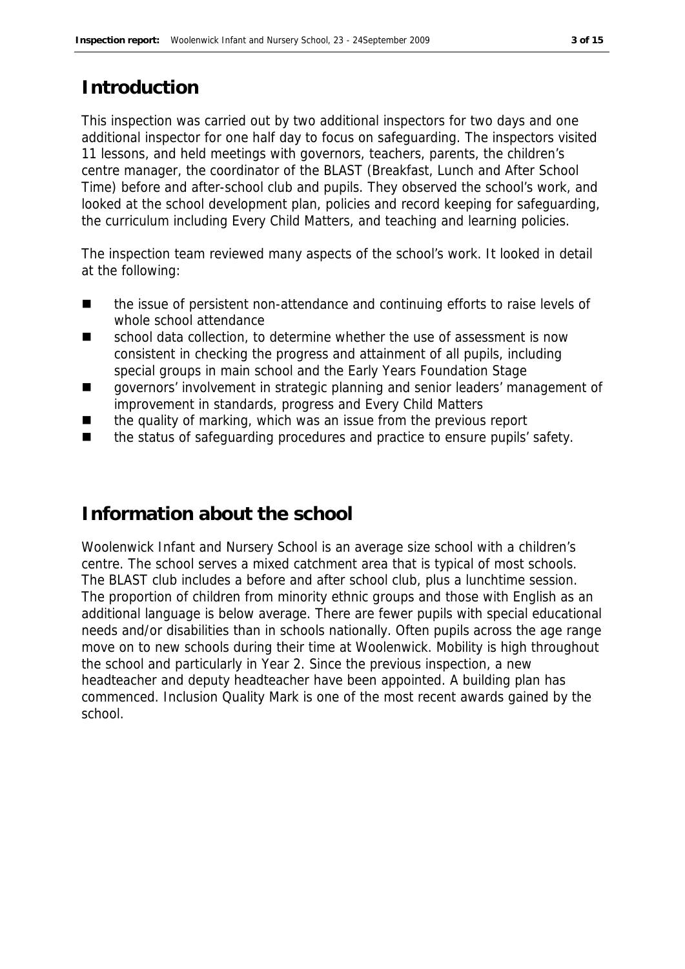# **Introduction**

This inspection was carried out by two additional inspectors for two days and one additional inspector for one half day to focus on safeguarding. The inspectors visited 11 lessons, and held meetings with governors, teachers, parents, the children's centre manager, the coordinator of the BLAST (Breakfast, Lunch and After School Time) before and after-school club and pupils. They observed the school's work, and looked at the school development plan, policies and record keeping for safeguarding, the curriculum including Every Child Matters, and teaching and learning policies.

The inspection team reviewed many aspects of the school's work. It looked in detail at the following:

- the issue of persistent non-attendance and continuing efforts to raise levels of whole school attendance
- school data collection, to determine whether the use of assessment is now consistent in checking the progress and attainment of all pupils, including special groups in main school and the Early Years Foundation Stage
- governors' involvement in strategic planning and senior leaders' management of improvement in standards, progress and Every Child Matters
- the quality of marking, which was an issue from the previous report
- the status of safeguarding procedures and practice to ensure pupils' safety.

# **Information about the school**

Woolenwick Infant and Nursery School is an average size school with a children's centre. The school serves a mixed catchment area that is typical of most schools. The BLAST club includes a before and after school club, plus a lunchtime session. The proportion of children from minority ethnic groups and those with English as an additional language is below average. There are fewer pupils with special educational needs and/or disabilities than in schools nationally. Often pupils across the age range move on to new schools during their time at Woolenwick. Mobility is high throughout the school and particularly in Year 2. Since the previous inspection, a new headteacher and deputy headteacher have been appointed. A building plan has commenced. Inclusion Quality Mark is one of the most recent awards gained by the school.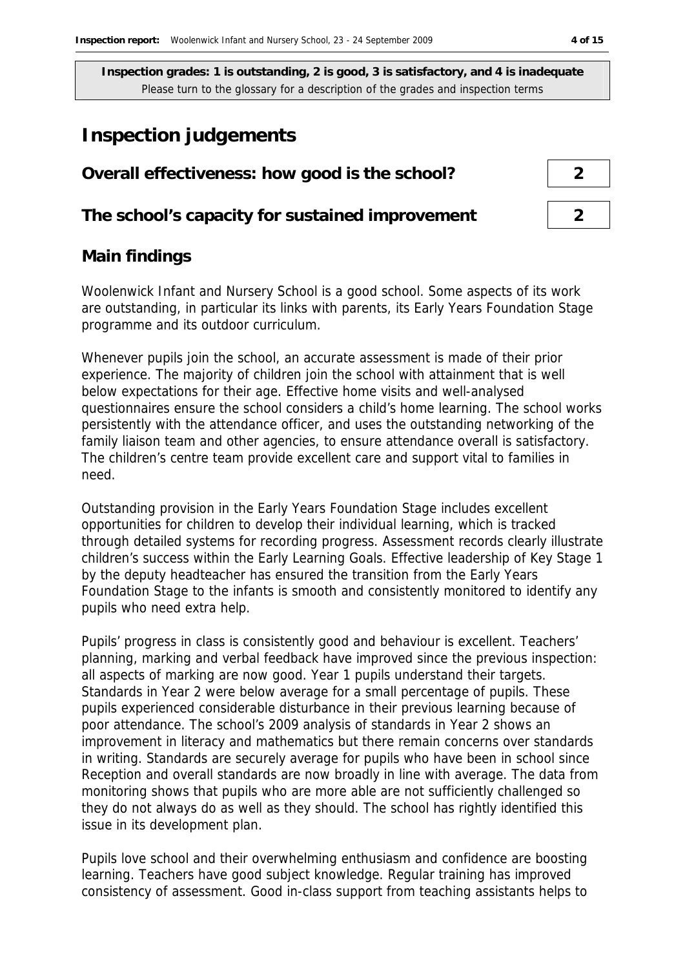# **Inspection judgements**

# **Overall effectiveness: how good is the school? 2**

**The school's capacity for sustained improvement 2**

# **Main findings**

Woolenwick Infant and Nursery School is a good school. Some aspects of its work are outstanding, in particular its links with parents, its Early Years Foundation Stage programme and its outdoor curriculum.

Whenever pupils join the school, an accurate assessment is made of their prior experience. The majority of children join the school with attainment that is well below expectations for their age. Effective home visits and well-analysed questionnaires ensure the school considers a child's home learning. The school works persistently with the attendance officer, and uses the outstanding networking of the family liaison team and other agencies, to ensure attendance overall is satisfactory. The children's centre team provide excellent care and support vital to families in need.

Outstanding provision in the Early Years Foundation Stage includes excellent opportunities for children to develop their individual learning, which is tracked through detailed systems for recording progress. Assessment records clearly illustrate children's success within the Early Learning Goals. Effective leadership of Key Stage 1 by the deputy headteacher has ensured the transition from the Early Years Foundation Stage to the infants is smooth and consistently monitored to identify any pupils who need extra help.

Pupils' progress in class is consistently good and behaviour is excellent. Teachers' planning, marking and verbal feedback have improved since the previous inspection: all aspects of marking are now good. Year 1 pupils understand their targets. Standards in Year 2 were below average for a small percentage of pupils. These pupils experienced considerable disturbance in their previous learning because of poor attendance. The school's 2009 analysis of standards in Year 2 shows an improvement in literacy and mathematics but there remain concerns over standards in writing. Standards are securely average for pupils who have been in school since Reception and overall standards are now broadly in line with average. The data from monitoring shows that pupils who are more able are not sufficiently challenged so they do not always do as well as they should. The school has rightly identified this issue in its development plan.

Pupils love school and their overwhelming enthusiasm and confidence are boosting learning. Teachers have good subject knowledge. Regular training has improved consistency of assessment. Good in-class support from teaching assistants helps to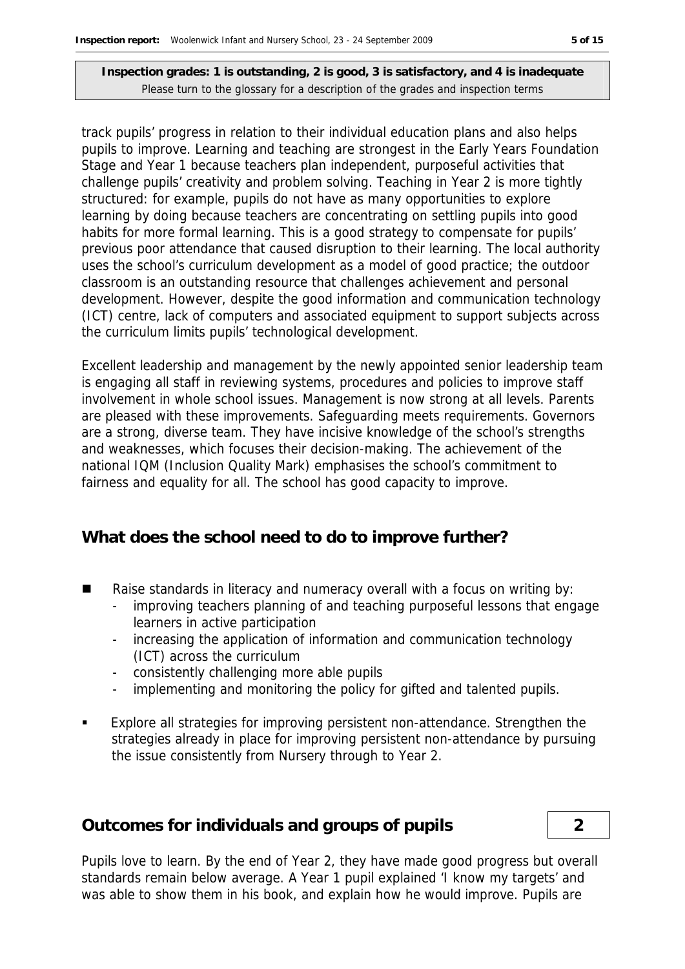track pupils' progress in relation to their individual education plans and also helps pupils to improve. Learning and teaching are strongest in the Early Years Foundation Stage and Year 1 because teachers plan independent, purposeful activities that challenge pupils' creativity and problem solving. Teaching in Year 2 is more tightly structured: for example, pupils do not have as many opportunities to explore learning by doing because teachers are concentrating on settling pupils into good habits for more formal learning. This is a good strategy to compensate for pupils' previous poor attendance that caused disruption to their learning. The local authority uses the school's curriculum development as a model of good practice; the outdoor classroom is an outstanding resource that challenges achievement and personal development. However, despite the good information and communication technology (ICT) centre, lack of computers and associated equipment to support subjects across the curriculum limits pupils' technological development.

Excellent leadership and management by the newly appointed senior leadership team is engaging all staff in reviewing systems, procedures and policies to improve staff involvement in whole school issues. Management is now strong at all levels. Parents are pleased with these improvements. Safeguarding meets requirements. Governors are a strong, diverse team. They have incisive knowledge of the school's strengths and weaknesses, which focuses their decision-making. The achievement of the national IQM (Inclusion Quality Mark) emphasises the school's commitment to fairness and equality for all. The school has good capacity to improve.

#### **What does the school need to do to improve further?**

- Raise standards in literacy and numeracy overall with a focus on writing by:
	- improving teachers planning of and teaching purposeful lessons that engage learners in active participation
	- increasing the application of information and communication technology (ICT) across the curriculum
	- consistently challenging more able pupils
	- implementing and monitoring the policy for gifted and talented pupils.
- Explore all strategies for improving persistent non-attendance. Strengthen the strategies already in place for improving persistent non-attendance by pursuing the issue consistently from Nursery through to Year 2.

#### **Outcomes for individuals and groups of pupils 2**

Pupils love to learn. By the end of Year 2, they have made good progress but overall standards remain below average. A Year 1 pupil explained 'I know my targets' and was able to show them in his book, and explain how he would improve. Pupils are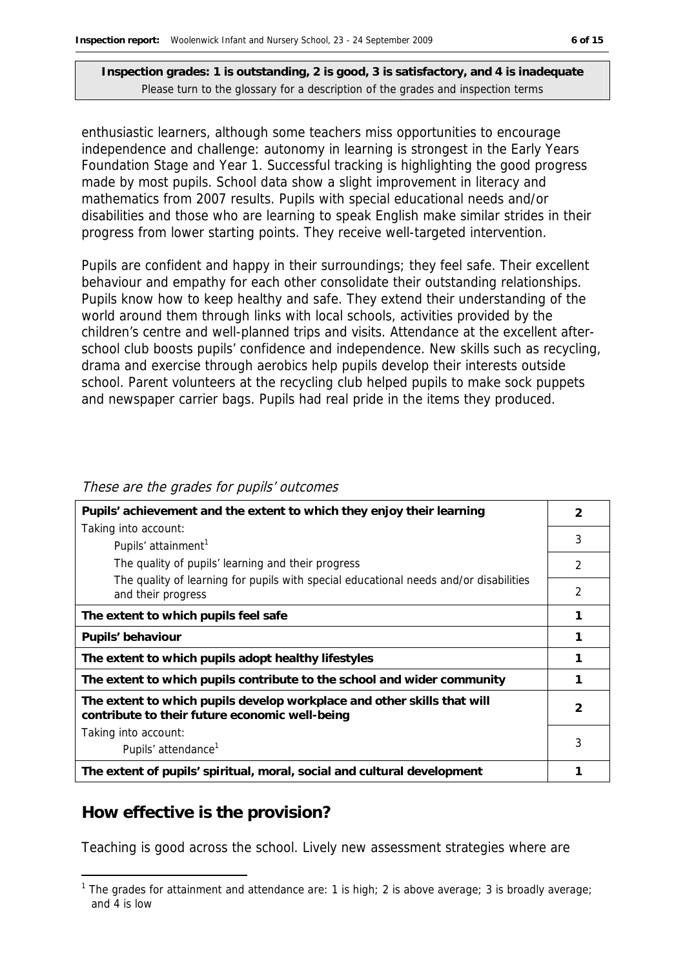enthusiastic learners, although some teachers miss opportunities to encourage independence and challenge: autonomy in learning is strongest in the Early Years Foundation Stage and Year 1. Successful tracking is highlighting the good progress made by most pupils. School data show a slight improvement in literacy and mathematics from 2007 results. Pupils with special educational needs and/or disabilities and those who are learning to speak English make similar strides in their progress from lower starting points. They receive well-targeted intervention.

Pupils are confident and happy in their surroundings; they feel safe. Their excellent behaviour and empathy for each other consolidate their outstanding relationships. Pupils know how to keep healthy and safe. They extend their understanding of the world around them through links with local schools, activities provided by the children's centre and well-planned trips and visits. Attendance at the excellent afterschool club boosts pupils' confidence and independence. New skills such as recycling, drama and exercise through aerobics help pupils develop their interests outside school. Parent volunteers at the recycling club helped pupils to make sock puppets and newspaper carrier bags. Pupils had real pride in the items they produced.

| Pupils' achievement and the extent to which they enjoy their learning                                                     |                |
|---------------------------------------------------------------------------------------------------------------------------|----------------|
| Taking into account:<br>Pupils' attainment <sup>1</sup>                                                                   | 3              |
| The quality of pupils' learning and their progress                                                                        | 2              |
| The quality of learning for pupils with special educational needs and/or disabilities<br>and their progress               | $\overline{2}$ |
| The extent to which pupils feel safe                                                                                      |                |
| Pupils' behaviour                                                                                                         |                |
| The extent to which pupils adopt healthy lifestyles                                                                       |                |
| The extent to which pupils contribute to the school and wider community                                                   | 1              |
| The extent to which pupils develop workplace and other skills that will<br>contribute to their future economic well-being | 2              |
| Taking into account:<br>Pupils' attendance <sup>1</sup>                                                                   | 3              |
| The extent of pupils' spiritual, moral, social and cultural development                                                   |                |

#### These are the grades for pupils' outcomes

# **How effective is the provision?**

-

Teaching is good across the school. Lively new assessment strategies where are

<sup>&</sup>lt;sup>1</sup> The grades for attainment and attendance are: 1 is high; 2 is above average; 3 is broadly average; and 4 is low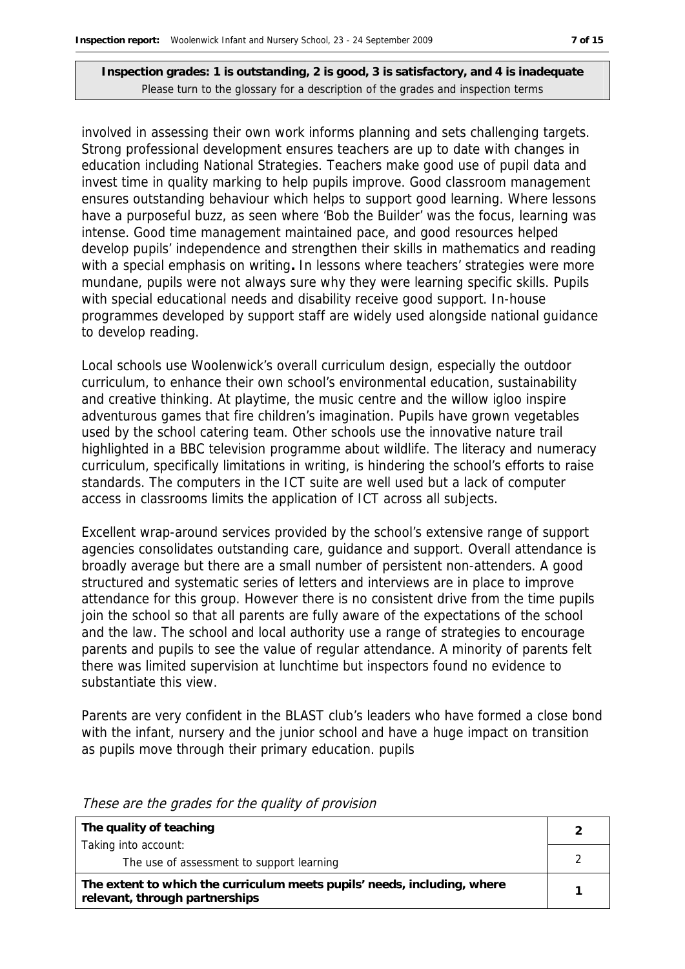involved in assessing their own work informs planning and sets challenging targets. Strong professional development ensures teachers are up to date with changes in education including National Strategies. Teachers make good use of pupil data and invest time in quality marking to help pupils improve. Good classroom management ensures outstanding behaviour which helps to support good learning. Where lessons have a purposeful buzz, as seen where 'Bob the Builder' was the focus, learning was intense. Good time management maintained pace, and good resources helped develop pupils' independence and strengthen their skills in mathematics and reading with a special emphasis on writing**.** In lessons where teachers' strategies were more mundane, pupils were not always sure why they were learning specific skills. Pupils with special educational needs and disability receive good support. In-house programmes developed by support staff are widely used alongside national guidance to develop reading.

Local schools use Woolenwick's overall curriculum design, especially the outdoor curriculum, to enhance their own school's environmental education, sustainability and creative thinking. At playtime, the music centre and the willow igloo inspire adventurous games that fire children's imagination. Pupils have grown vegetables used by the school catering team. Other schools use the innovative nature trail highlighted in a BBC television programme about wildlife. The literacy and numeracy curriculum, specifically limitations in writing, is hindering the school's efforts to raise standards. The computers in the ICT suite are well used but a lack of computer access in classrooms limits the application of ICT across all subjects.

Excellent wrap-around services provided by the school's extensive range of support agencies consolidates outstanding care, guidance and support. Overall attendance is broadly average but there are a small number of persistent non-attenders. A good structured and systematic series of letters and interviews are in place to improve attendance for this group. However there is no consistent drive from the time pupils join the school so that all parents are fully aware of the expectations of the school and the law. The school and local authority use a range of strategies to encourage parents and pupils to see the value of regular attendance. A minority of parents felt there was limited supervision at lunchtime but inspectors found no evidence to substantiate this view.

Parents are very confident in the BLAST club's leaders who have formed a close bond with the infant, nursery and the junior school and have a huge impact on transition as pupils move through their primary education. pupils

| The quality of teaching                                                                                    |  |
|------------------------------------------------------------------------------------------------------------|--|
| Taking into account:                                                                                       |  |
| The use of assessment to support learning                                                                  |  |
| The extent to which the curriculum meets pupils' needs, including, where<br>relevant, through partnerships |  |

These are the grades for the quality of provision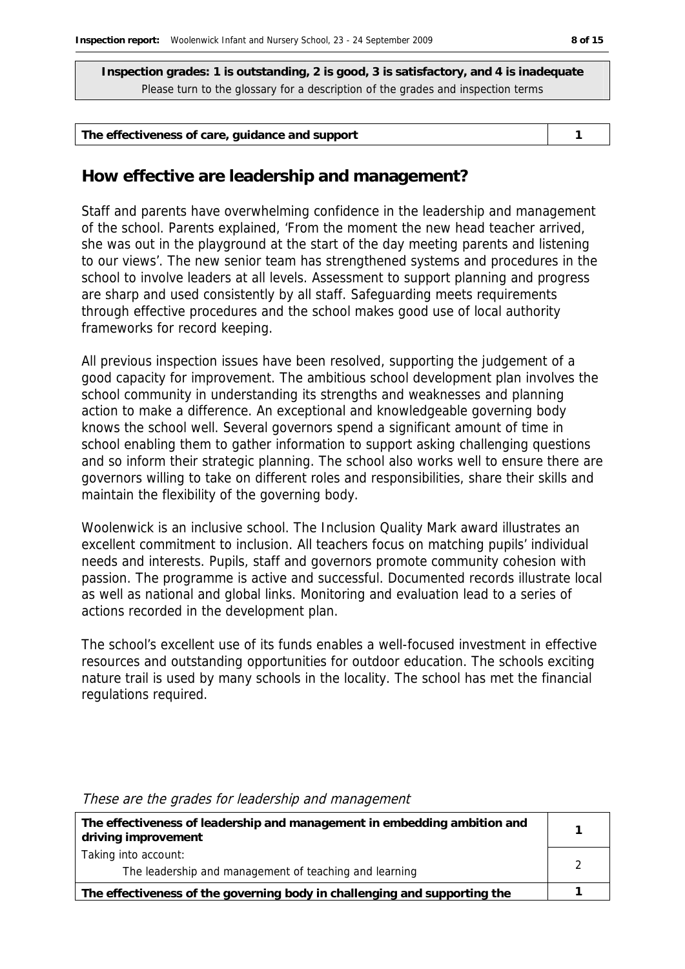| The effectiveness of care, guidance and support |  |
|-------------------------------------------------|--|
|-------------------------------------------------|--|

#### **How effective are leadership and management?**

Staff and parents have overwhelming confidence in the leadership and management of the school. Parents explained, 'From the moment the new head teacher arrived, she was out in the playground at the start of the day meeting parents and listening to our views'. The new senior team has strengthened systems and procedures in the school to involve leaders at all levels. Assessment to support planning and progress are sharp and used consistently by all staff. Safeguarding meets requirements through effective procedures and the school makes good use of local authority frameworks for record keeping.

All previous inspection issues have been resolved, supporting the judgement of a good capacity for improvement. The ambitious school development plan involves the school community in understanding its strengths and weaknesses and planning action to make a difference. An exceptional and knowledgeable governing body knows the school well. Several governors spend a significant amount of time in school enabling them to gather information to support asking challenging questions and so inform their strategic planning. The school also works well to ensure there are governors willing to take on different roles and responsibilities, share their skills and maintain the flexibility of the governing body.

Woolenwick is an inclusive school. The Inclusion Quality Mark award illustrates an excellent commitment to inclusion. All teachers focus on matching pupils' individual needs and interests. Pupils, staff and governors promote community cohesion with passion. The programme is active and successful. Documented records illustrate local as well as national and global links. Monitoring and evaluation lead to a series of actions recorded in the development plan.

The school's excellent use of its funds enables a well-focused investment in effective resources and outstanding opportunities for outdoor education. The schools exciting nature trail is used by many schools in the locality. The school has met the financial regulations required.

| The effectiveness of leadership and management in embedding ambition and<br>driving improvement |  |
|-------------------------------------------------------------------------------------------------|--|
| Taking into account:                                                                            |  |
| The leadership and management of teaching and learning                                          |  |
| The effectiveness of the governing body in challenging and supporting the                       |  |

#### These are the grades for leadership and management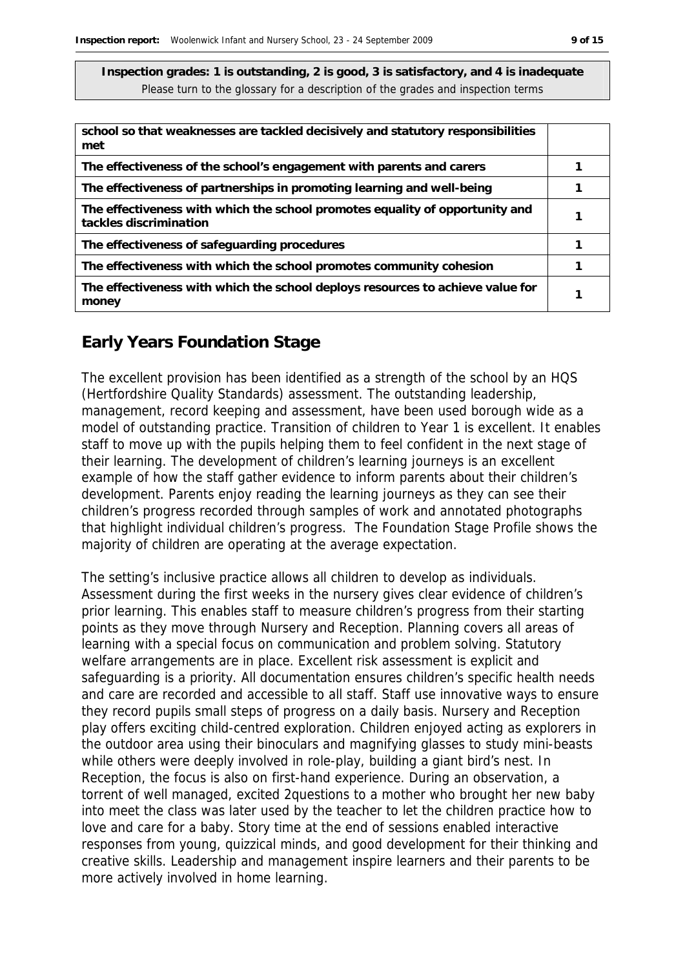| school so that weaknesses are tackled decisively and statutory responsibilities<br>met                 |  |
|--------------------------------------------------------------------------------------------------------|--|
| The effectiveness of the school's engagement with parents and carers                                   |  |
| The effectiveness of partnerships in promoting learning and well-being                                 |  |
| The effectiveness with which the school promotes equality of opportunity and<br>tackles discrimination |  |
| The effectiveness of safeguarding procedures                                                           |  |
| The effectiveness with which the school promotes community cohesion                                    |  |
| The effectiveness with which the school deploys resources to achieve value for<br>money                |  |

#### **Early Years Foundation Stage**

The excellent provision has been identified as a strength of the school by an HQS (Hertfordshire Quality Standards) assessment. The outstanding leadership, management, record keeping and assessment, have been used borough wide as a model of outstanding practice. Transition of children to Year 1 is excellent. It enables staff to move up with the pupils helping them to feel confident in the next stage of their learning. The development of children's learning journeys is an excellent example of how the staff gather evidence to inform parents about their children's development. Parents enjoy reading the learning journeys as they can see their children's progress recorded through samples of work and annotated photographs that highlight individual children's progress. The Foundation Stage Profile shows the majority of children are operating at the average expectation.

The setting's inclusive practice allows all children to develop as individuals. Assessment during the first weeks in the nursery gives clear evidence of children's prior learning. This enables staff to measure children's progress from their starting points as they move through Nursery and Reception. Planning covers all areas of learning with a special focus on communication and problem solving. Statutory welfare arrangements are in place. Excellent risk assessment is explicit and safeguarding is a priority. All documentation ensures children's specific health needs and care are recorded and accessible to all staff. Staff use innovative ways to ensure they record pupils small steps of progress on a daily basis. Nursery and Reception play offers exciting child-centred exploration. Children enjoyed acting as explorers in the outdoor area using their binoculars and magnifying glasses to study mini-beasts while others were deeply involved in role-play, building a giant bird's nest. In Reception, the focus is also on first-hand experience. During an observation, a torrent of well managed, excited 2questions to a mother who brought her new baby into meet the class was later used by the teacher to let the children practice how to love and care for a baby. Story time at the end of sessions enabled interactive responses from young, quizzical minds, and good development for their thinking and creative skills. Leadership and management inspire learners and their parents to be more actively involved in home learning.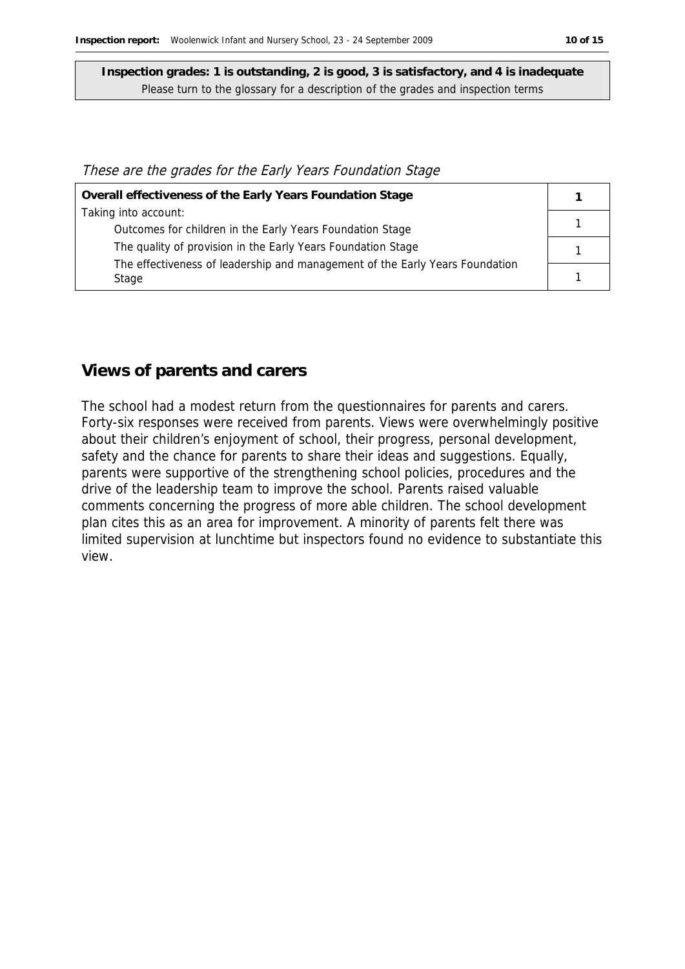#### These are the grades for the Early Years Foundation Stage

| Overall effectiveness of the Early Years Foundation Stage                    |  |
|------------------------------------------------------------------------------|--|
| Taking into account:                                                         |  |
| Outcomes for children in the Early Years Foundation Stage                    |  |
| The quality of provision in the Early Years Foundation Stage                 |  |
| The effectiveness of leadership and management of the Early Years Foundation |  |
| Stage                                                                        |  |

#### **Views of parents and carers**

The school had a modest return from the questionnaires for parents and carers. Forty-six responses were received from parents. Views were overwhelmingly positive about their children's enjoyment of school, their progress, personal development, safety and the chance for parents to share their ideas and suggestions. Equally, parents were supportive of the strengthening school policies, procedures and the drive of the leadership team to improve the school. Parents raised valuable comments concerning the progress of more able children. The school development plan cites this as an area for improvement. A minority of parents felt there was limited supervision at lunchtime but inspectors found no evidence to substantiate this view.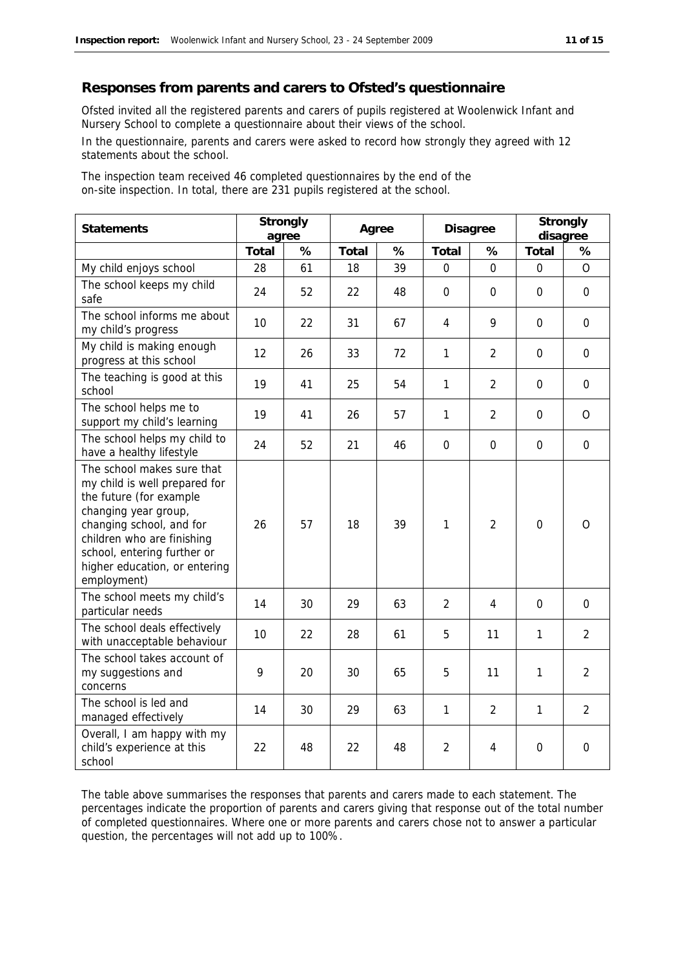#### **Responses from parents and carers to Ofsted's questionnaire**

Ofsted invited all the registered parents and carers of pupils registered at Woolenwick Infant and Nursery School to complete a questionnaire about their views of the school.

In the questionnaire, parents and carers were asked to record how strongly they agreed with 12 statements about the school.

The inspection team received 46 completed questionnaires by the end of the on-site inspection. In total, there are 231 pupils registered at the school.

| <b>Statements</b>                                                                                                                                                                                                                                       | Strongly<br>agree |    | Agree |      | Disagree       |                | Strongly<br>disagree |                |
|---------------------------------------------------------------------------------------------------------------------------------------------------------------------------------------------------------------------------------------------------------|-------------------|----|-------|------|----------------|----------------|----------------------|----------------|
|                                                                                                                                                                                                                                                         | Total             | %  | Total | $\%$ | Total          | ℅              | Total                | %              |
| My child enjoys school                                                                                                                                                                                                                                  | 28                | 61 | 18    | 39   | $\mathbf{0}$   | $\mathbf{0}$   | $\mathbf 0$          | $\overline{O}$ |
| The school keeps my child<br>safe                                                                                                                                                                                                                       | 24                | 52 | 22    | 48   | $\mathbf{0}$   | $\Omega$       | $\mathbf{0}$         | $\overline{0}$ |
| The school informs me about<br>my child's progress                                                                                                                                                                                                      | 10                | 22 | 31    | 67   | $\overline{4}$ | 9              | $\mathbf{0}$         | $\overline{0}$ |
| My child is making enough<br>progress at this school                                                                                                                                                                                                    | 12                | 26 | 33    | 72   | $\mathbf{1}$   | $\overline{2}$ | $\mathbf{0}$         | $\Omega$       |
| The teaching is good at this<br>school                                                                                                                                                                                                                  | 19                | 41 | 25    | 54   | $\mathbf{1}$   | $\overline{2}$ | $\mathbf{0}$         | $\overline{0}$ |
| The school helps me to<br>support my child's learning                                                                                                                                                                                                   | 19                | 41 | 26    | 57   | 1              | $\overline{2}$ | $\mathbf 0$          | $\mathcal{O}$  |
| The school helps my child to<br>have a healthy lifestyle                                                                                                                                                                                                | 24                | 52 | 21    | 46   | $\mathbf 0$    | $\mathbf 0$    | $\overline{0}$       | $\mathbf 0$    |
| The school makes sure that<br>my child is well prepared for<br>the future (for example<br>changing year group,<br>changing school, and for<br>children who are finishing<br>school, entering further or<br>higher education, or entering<br>employment) | 26                | 57 | 18    | 39   | 1              | $\overline{2}$ | $\mathbf 0$          | $\circ$        |
| The school meets my child's<br>particular needs                                                                                                                                                                                                         | 14                | 30 | 29    | 63   | $\overline{2}$ | 4              | $\Omega$             | $\mathbf 0$    |
| The school deals effectively<br>with unacceptable behaviour                                                                                                                                                                                             | 10                | 22 | 28    | 61   | 5              | 11             | 1                    | $\overline{2}$ |
| The school takes account of<br>my suggestions and<br>concerns                                                                                                                                                                                           | 9                 | 20 | 30    | 65   | 5              | 11             | 1                    | $\overline{2}$ |
| The school is led and<br>managed effectively                                                                                                                                                                                                            | 14                | 30 | 29    | 63   | 1              | $\overline{2}$ | $\mathbf{1}$         | $\overline{2}$ |
| Overall, I am happy with my<br>child's experience at this<br>school                                                                                                                                                                                     | 22                | 48 | 22    | 48   | $\overline{2}$ | 4              | $\mathbf 0$          | $\mathbf 0$    |

The table above summarises the responses that parents and carers made to each statement. The percentages indicate the proportion of parents and carers giving that response out of the total number of completed questionnaires. Where one or more parents and carers chose not to answer a particular question, the percentages will not add up to 100%.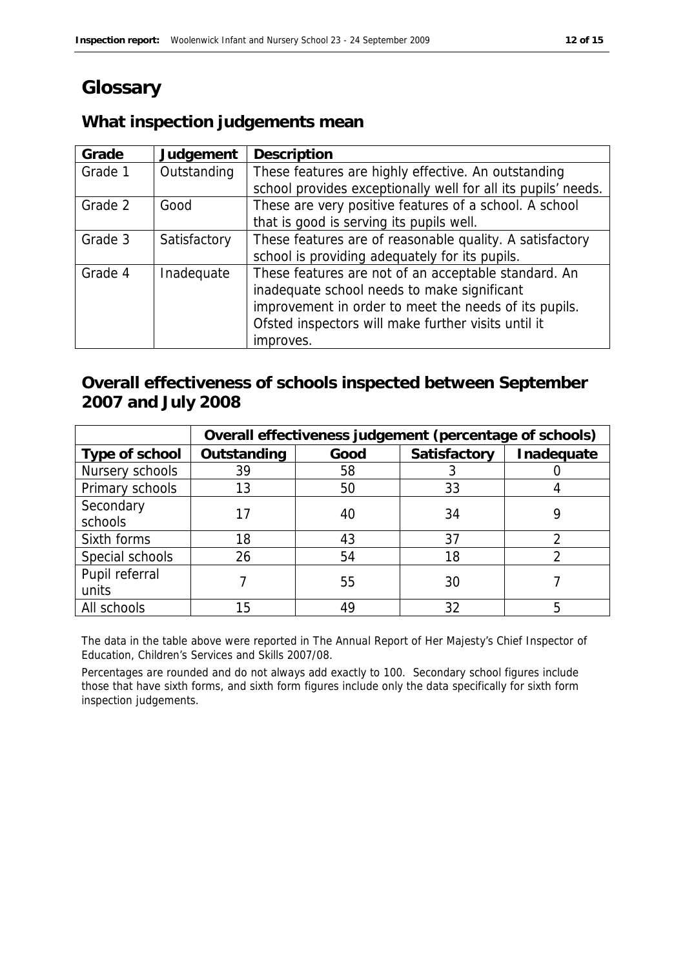# **Glossary**

## **What inspection judgements mean**

| Grade   | Judgement    | Description                                                   |
|---------|--------------|---------------------------------------------------------------|
| Grade 1 | Outstanding  | These features are highly effective. An outstanding           |
|         |              | school provides exceptionally well for all its pupils' needs. |
| Grade 2 | Good         | These are very positive features of a school. A school        |
|         |              | that is good is serving its pupils well.                      |
| Grade 3 | Satisfactory | These features are of reasonable quality. A satisfactory      |
|         |              | school is providing adequately for its pupils.                |
| Grade 4 | Inadequate   | These features are not of an acceptable standard. An          |
|         |              | inadequate school needs to make significant                   |
|         |              | improvement in order to meet the needs of its pupils.         |
|         |              | Ofsted inspectors will make further visits until it           |
|         |              | improves.                                                     |

## **Overall effectiveness of schools inspected between September 2007 and July 2008**

|                 | Overall effectiveness judgement (percentage of schools) |      |              |            |  |
|-----------------|---------------------------------------------------------|------|--------------|------------|--|
| Type of school  | Outstanding                                             | Good | Satisfactory | Inadequate |  |
| Nursery schools | 39                                                      | 58   |              |            |  |
| Primary schools | 13                                                      | 50   | 33           |            |  |
| Secondary       |                                                         | 40   | 34           |            |  |
| schools         |                                                         |      |              |            |  |
| Sixth forms     | 18                                                      | 43   | 37           |            |  |
| Special schools | 26                                                      | 54   | 18           |            |  |
| Pupil referral  |                                                         |      | 30           |            |  |
| units           |                                                         | 55   |              |            |  |
| All schools     | 15                                                      | 49   | 32           |            |  |

The data in the table above were reported in The Annual Report of Her Majesty's Chief Inspector of Education, Children's Services and Skills 2007/08.

Percentages are rounded and do not always add exactly to 100. Secondary school figures include those that have sixth forms, and sixth form figures include only the data specifically for sixth form inspection judgements.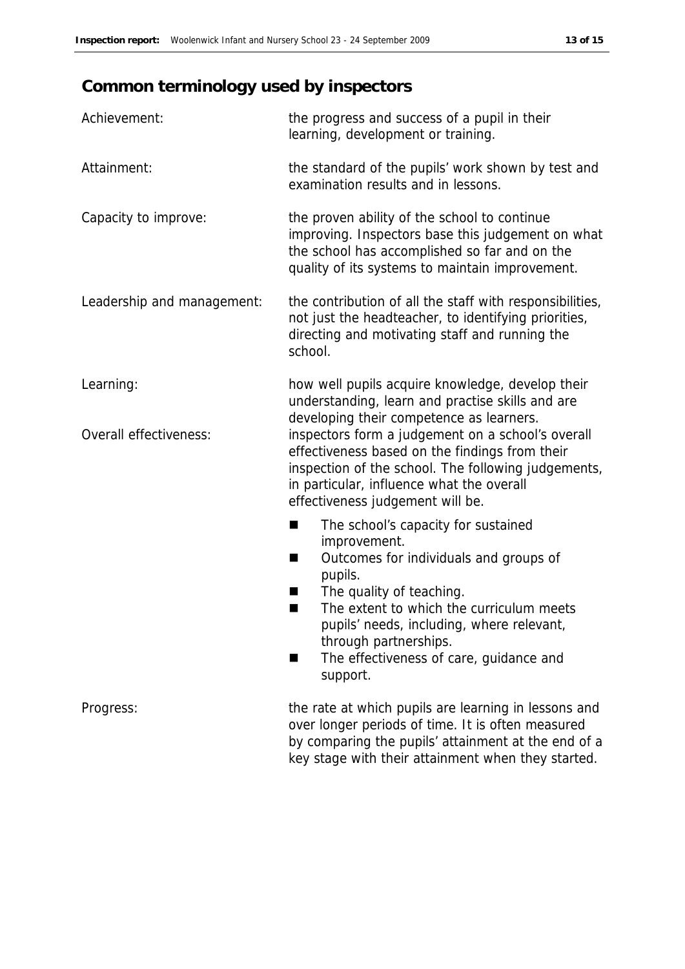# **Common terminology used by inspectors**

| Achievement:               | the progress and success of a pupil in their<br>learning, development or training.                                                                                                                                                          |
|----------------------------|---------------------------------------------------------------------------------------------------------------------------------------------------------------------------------------------------------------------------------------------|
| Attainment:                | the standard of the pupils' work shown by test and<br>examination results and in lessons.                                                                                                                                                   |
| Capacity to improve:       | the proven ability of the school to continue<br>improving. Inspectors base this judgement on what<br>the school has accomplished so far and on the<br>quality of its systems to maintain improvement.                                       |
| Leadership and management: | the contribution of all the staff with responsibilities,<br>not just the headteacher, to identifying priorities,<br>directing and motivating staff and running the<br>school.                                                               |
| Learning:                  | how well pupils acquire knowledge, develop their<br>understanding, learn and practise skills and are<br>developing their competence as learners.                                                                                            |
| Overall effectiveness:     | inspectors form a judgement on a school's overall<br>effectiveness based on the findings from their<br>inspection of the school. The following judgements,<br>in particular, influence what the overall<br>effectiveness judgement will be. |
|                            | The school's capacity for sustained<br>▄                                                                                                                                                                                                    |
|                            | improvement.<br>Outcomes for individuals and groups of<br>■<br>pupils.                                                                                                                                                                      |
|                            | The quality of teaching.<br>ш<br>The extent to which the curriculum meets<br>٠<br>pupils' needs, including, where relevant,<br>through partnerships.                                                                                        |
|                            | The effectiveness of care, guidance and<br>support.                                                                                                                                                                                         |
| Progress:                  | the rate at which pupils are learning in lessons and<br>over longer periods of time. It is often measured<br>by comparing the pupils' attainment at the end of a                                                                            |

key stage with their attainment when they started.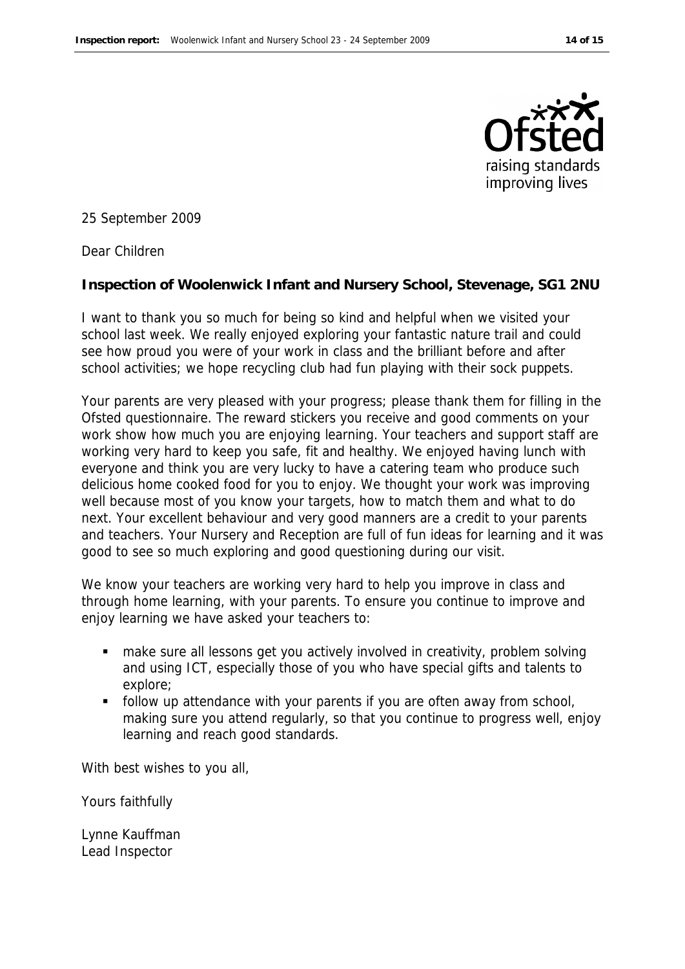

25 September 2009

Dear Children

**Inspection of Woolenwick Infant and Nursery School, Stevenage, SG1 2NU**

I want to thank you so much for being so kind and helpful when we visited your school last week. We really enjoyed exploring your fantastic nature trail and could see how proud you were of your work in class and the brilliant before and after school activities; we hope recycling club had fun playing with their sock puppets.

Your parents are very pleased with your progress; please thank them for filling in the Ofsted questionnaire. The reward stickers you receive and good comments on your work show how much you are enjoying learning. Your teachers and support staff are working very hard to keep you safe, fit and healthy. We enjoyed having lunch with everyone and think you are very lucky to have a catering team who produce such delicious home cooked food for you to enjoy. We thought your work was improving well because most of you know your targets, how to match them and what to do next. Your excellent behaviour and very good manners are a credit to your parents and teachers. Your Nursery and Reception are full of fun ideas for learning and it was good to see so much exploring and good questioning during our visit.

We know your teachers are working very hard to help you improve in class and through home learning, with your parents. To ensure you continue to improve and enjoy learning we have asked your teachers to:

- make sure all lessons get you actively involved in creativity, problem solving and using ICT, especially those of you who have special gifts and talents to explore;
- **follow up attendance with your parents if you are often away from school,** making sure you attend regularly, so that you continue to progress well, enjoy learning and reach good standards.

With best wishes to you all,

Yours faithfully

Lynne Kauffman Lead Inspector